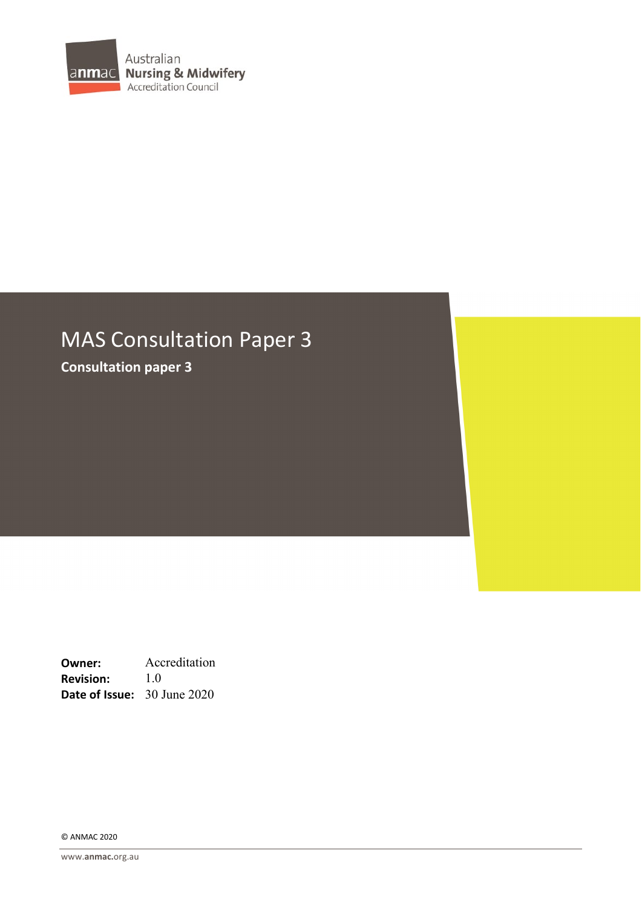

# MAS Consultation Paper 3

**Consultation paper 3**

**Owner:** Accreditation **Revision:** 1.0 **Date of Issue:** 30 June 2020

© ANMAC 2020

www.**[anmac.](http://www.anmac.org.au/)**org.au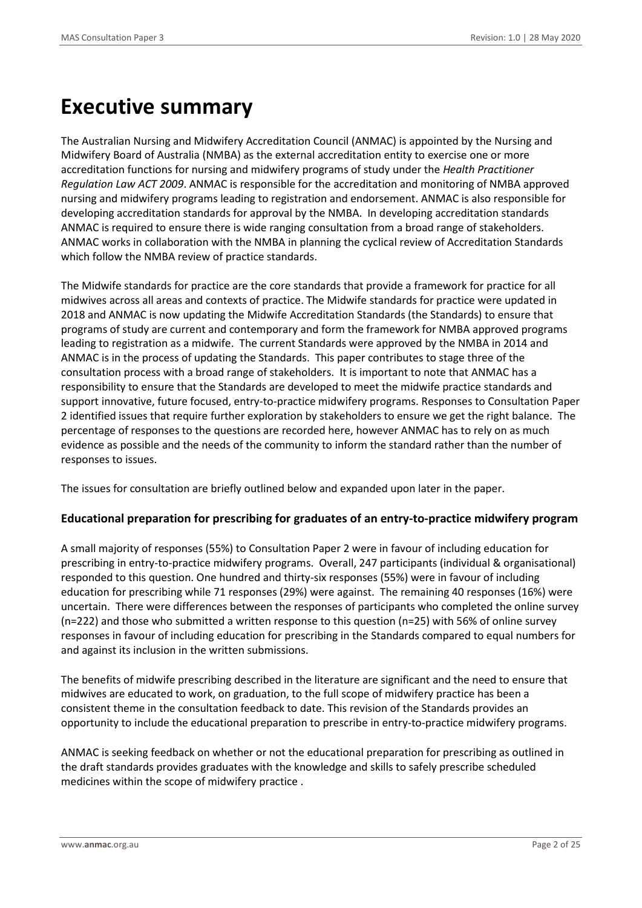# **Executive summary**

The Australian Nursing and Midwifery Accreditation Council (ANMAC) is appointed by the Nursing and Midwifery Board of Australia (NMBA) as the external accreditation entity to exercise one or more accreditation functions for nursing and midwifery programs of study under the *Health Practitioner Regulation Law ACT 2009*. ANMAC is responsible for the accreditation and monitoring of NMBA approved nursing and midwifery programs leading to registration and endorsement. ANMAC is also responsible for developing accreditation standards for approval by the NMBA. In developing accreditation standards ANMAC is required to ensure there is wide ranging consultation from a broad range of stakeholders. ANMAC works in collaboration with the NMBA in planning the cyclical review of Accreditation Standards which follow the NMBA review of practice standards.

The Midwife standards for practice are the core standards that provide a framework for practice for all midwives across all areas and contexts of practice. The Midwife standards for practice were updated in 2018 and ANMAC is now updating the Midwife Accreditation Standards (the Standards) to ensure that programs of study are current and contemporary and form the framework for NMBA approved programs leading to registration as a midwife. The current Standards were approved by the NMBA in 2014 and ANMAC is in the process of updating the Standards. This paper contributes to stage three of the consultation process with a broad range of stakeholders. It is important to note that ANMAC has a responsibility to ensure that the Standards are developed to meet the midwife practice standards and support innovative, future focused, entry-to-practice midwifery programs. Responses to Consultation Paper 2 identified issues that require further exploration by stakeholders to ensure we get the right balance. The percentage of responses to the questions are recorded here, however ANMAC has to rely on as much evidence as possible and the needs of the community to inform the standard rather than the number of responses to issues.

The issues for consultation are briefly outlined below and expanded upon later in the paper.

#### **Educational preparation for prescribing for graduates of an entry-to-practice midwifery program**

A small majority of responses (55%) to Consultation Paper 2 were in favour of including education for prescribing in entry-to-practice midwifery programs. Overall, 247 participants (individual & organisational) responded to this question. One hundred and thirty-six responses (55%) were in favour of including education for prescribing while 71 responses (29%) were against. The remaining 40 responses (16%) were uncertain. There were differences between the responses of participants who completed the online survey (n=222) and those who submitted a written response to this question (n=25) with 56% of online survey responses in favour of including education for prescribing in the Standards compared to equal numbers for and against its inclusion in the written submissions.

The benefits of midwife prescribing described in the literature are significant and the need to ensure that midwives are educated to work, on graduation, to the full scope of midwifery practice has been a consistent theme in the consultation feedback to date. This revision of the Standards provides an opportunity to include the educational preparation to prescribe in entry-to-practice midwifery programs.

ANMAC is seeking feedback on whether or not the educational preparation for prescribing as outlined in the draft standards provides graduates with the knowledge and skills to safely prescribe scheduled medicines within the scope of midwifery practice .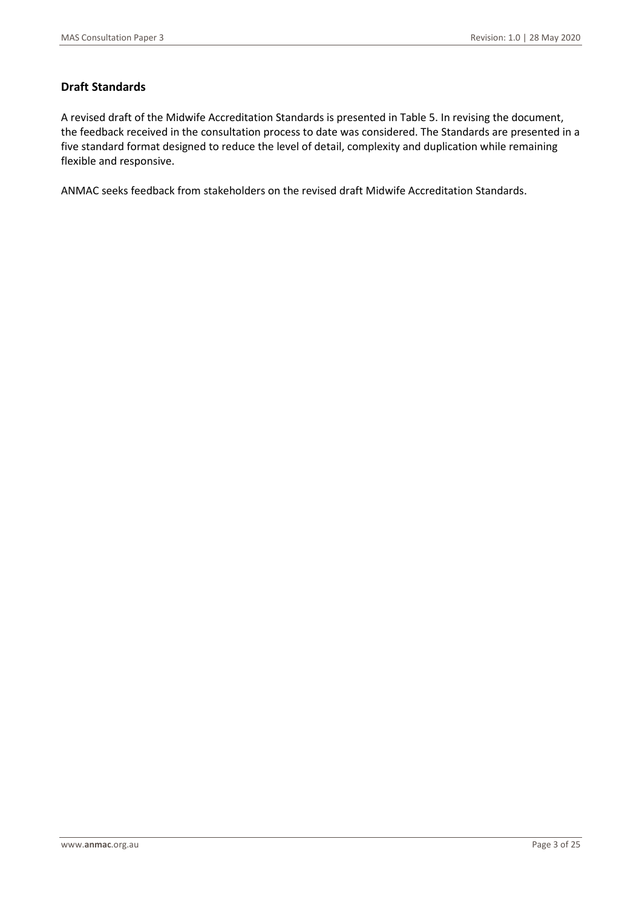### **Draft Standards**

A revised draft of the Midwife Accreditation Standards is presented in Table 5. In revising the document, the feedback received in the consultation process to date was considered. The Standards are presented in a five standard format designed to reduce the level of detail, complexity and duplication while remaining flexible and responsive.

ANMAC seeks feedback from stakeholders on the revised draft Midwife Accreditation Standards.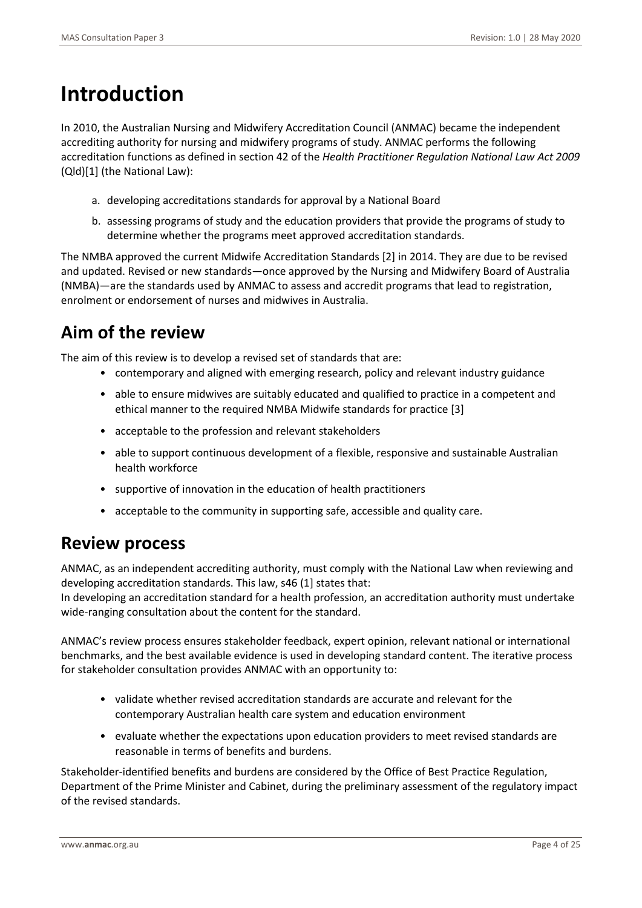# **Introduction**

In 2010, the Australian Nursing and Midwifery Accreditation Council (ANMAC) became the independent accrediting authority for nursing and midwifery programs of study. ANMAC performs the following accreditation functions as defined in section 42 of the *Health Practitioner Regulation National Law Act 2009* (Qld)[1] (the National Law):

- a. developing accreditations standards for approval by a National Board
- b. assessing programs of study and the education providers that provide the programs of study to determine whether the programs meet approved accreditation standards.

The NMBA approved the current Midwife Accreditation Standards [2] in 2014. They are due to be revised and updated. Revised or new standards—once approved by the Nursing and Midwifery Board of Australia (NMBA)—are the standards used by ANMAC to assess and accredit programs that lead to registration, enrolment or endorsement of nurses and midwives in Australia.

# **Aim of the review**

The aim of this review is to develop a revised set of standards that are:

- contemporary and aligned with emerging research, policy and relevant industry guidance
- able to ensure midwives are suitably educated and qualified to practice in a competent and ethical manner to the required NMBA Midwife standards for practice [3]
- acceptable to the profession and relevant stakeholders
- able to support continuous development of a flexible, responsive and sustainable Australian health workforce
- supportive of innovation in the education of health practitioners
- acceptable to the community in supporting safe, accessible and quality care.

## **Review process**

ANMAC, as an independent accrediting authority, must comply with the National Law when reviewing and developing accreditation standards. This law, s46 (1] states that:

In developing an accreditation standard for a health profession, an accreditation authority must undertake wide-ranging consultation about the content for the standard.

ANMAC's review process ensures stakeholder feedback, expert opinion, relevant national or international benchmarks, and the best available evidence is used in developing standard content. The iterative process for stakeholder consultation provides ANMAC with an opportunity to:

- validate whether revised accreditation standards are accurate and relevant for the contemporary Australian health care system and education environment
- evaluate whether the expectations upon education providers to meet revised standards are reasonable in terms of benefits and burdens.

Stakeholder-identified benefits and burdens are considered by the Office of Best Practice Regulation, Department of the Prime Minister and Cabinet, during the preliminary assessment of the regulatory impact of the revised standards.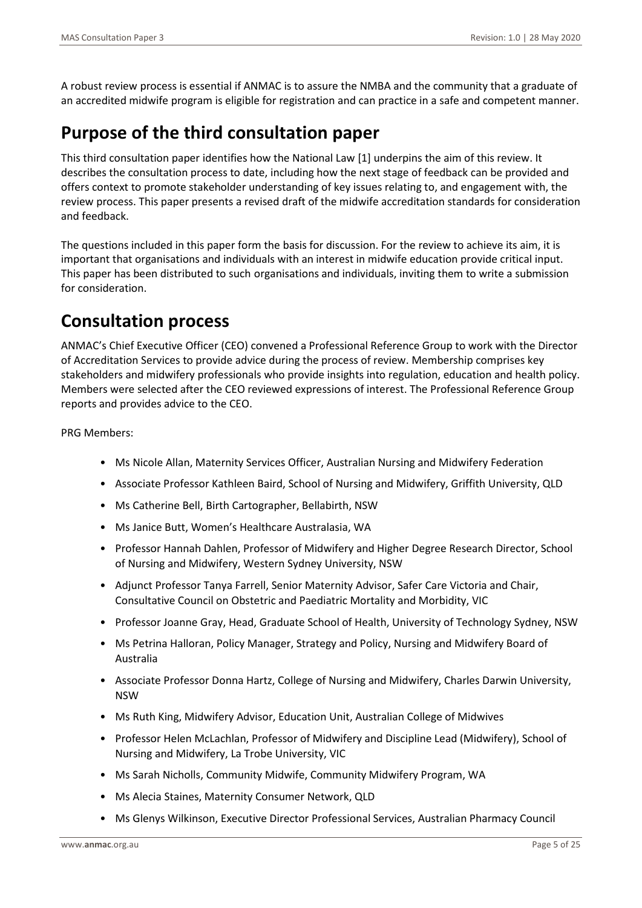A robust review process is essential if ANMAC is to assure the NMBA and the community that a graduate of an accredited midwife program is eligible for registration and can practice in a safe and competent manner.

# **Purpose of the third consultation paper**

This third consultation paper identifies how the National Law [1] underpins the aim of this review. It describes the consultation process to date, including how the next stage of feedback can be provided and offers context to promote stakeholder understanding of key issues relating to, and engagement with, the review process. This paper presents a revised draft of the midwife accreditation standards for consideration and feedback.

The questions included in this paper form the basis for discussion. For the review to achieve its aim, it is important that organisations and individuals with an interest in midwife education provide critical input. This paper has been distributed to such organisations and individuals, inviting them to write a submission for consideration.

# **Consultation process**

ANMAC's Chief Executive Officer (CEO) convened a Professional Reference Group to work with the Director of Accreditation Services to provide advice during the process of review. Membership comprises key stakeholders and midwifery professionals who provide insights into regulation, education and health policy. Members were selected after the CEO reviewed expressions of interest. The Professional Reference Group reports and provides advice to the CEO.

PRG Members:

- Ms Nicole Allan, Maternity Services Officer, Australian Nursing and Midwifery Federation
- Associate Professor Kathleen Baird, School of Nursing and Midwifery, Griffith University, QLD
- Ms Catherine Bell, Birth Cartographer, Bellabirth, NSW
- Ms Janice Butt, Women's Healthcare Australasia, WA
- Professor Hannah Dahlen, Professor of Midwifery and Higher Degree Research Director, School of Nursing and Midwifery, Western Sydney University, NSW
- Adjunct Professor Tanya Farrell, Senior Maternity Advisor, Safer Care Victoria and Chair, Consultative Council on Obstetric and Paediatric Mortality and Morbidity, VIC
- Professor Joanne Gray, Head, Graduate School of Health, University of Technology Sydney, NSW
- Ms Petrina Halloran, Policy Manager, Strategy and Policy, Nursing and Midwifery Board of Australia
- Associate Professor Donna Hartz, College of Nursing and Midwifery, Charles Darwin University, NSW
- Ms Ruth King, Midwifery Advisor, Education Unit, Australian College of Midwives
- Professor Helen McLachlan, Professor of Midwifery and Discipline Lead (Midwifery), School of Nursing and Midwifery, La Trobe University, VIC
- Ms Sarah Nicholls, Community Midwife, Community Midwifery Program, WA
- Ms Alecia Staines, Maternity Consumer Network, QLD
- Ms Glenys Wilkinson, Executive Director Professional Services, Australian Pharmacy Council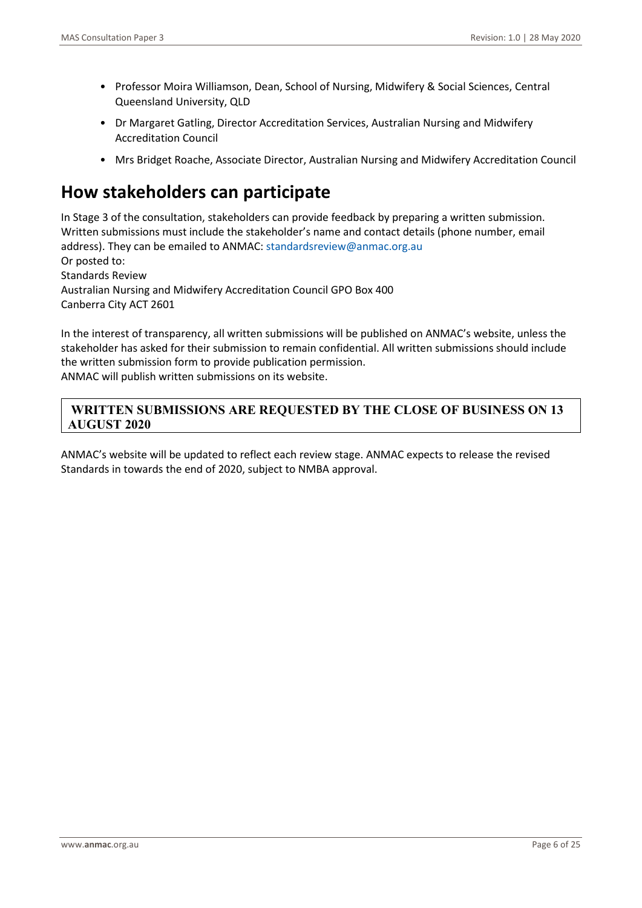- Professor Moira Williamson, Dean, School of Nursing, Midwifery & Social Sciences, Central Queensland University, QLD
- Dr Margaret Gatling, Director Accreditation Services, Australian Nursing and Midwifery Accreditation Council
- Mrs Bridget Roache, Associate Director, Australian Nursing and Midwifery Accreditation Council

## **How stakeholders can participate**

In Stage 3 of the consultation, stakeholders can provide feedback by preparing a written submission. Written submissions must include the stakeholder's name and contact details (phone number, email address). They can be emailed to ANMAC: standardsreview@anmac.org.au Or posted to: Standards Review Australian Nursing and Midwifery Accreditation Council GPO Box 400 Canberra City ACT 2601

In the interest of transparency, all written submissions will be published on ANMAC's website, unless the stakeholder has asked for their submission to remain confidential. All written submissions should include the written submission form to provide publication permission.

ANMAC will publish written submissions on its website.

### **WRITTEN SUBMISSIONS ARE REQUESTED BY THE CLOSE OF BUSINESS ON 13 AUGUST 2020**

ANMAC's website will be updated to reflect each review stage. ANMAC expects to release the revised Standards in towards the end of 2020, subject to NMBA approval.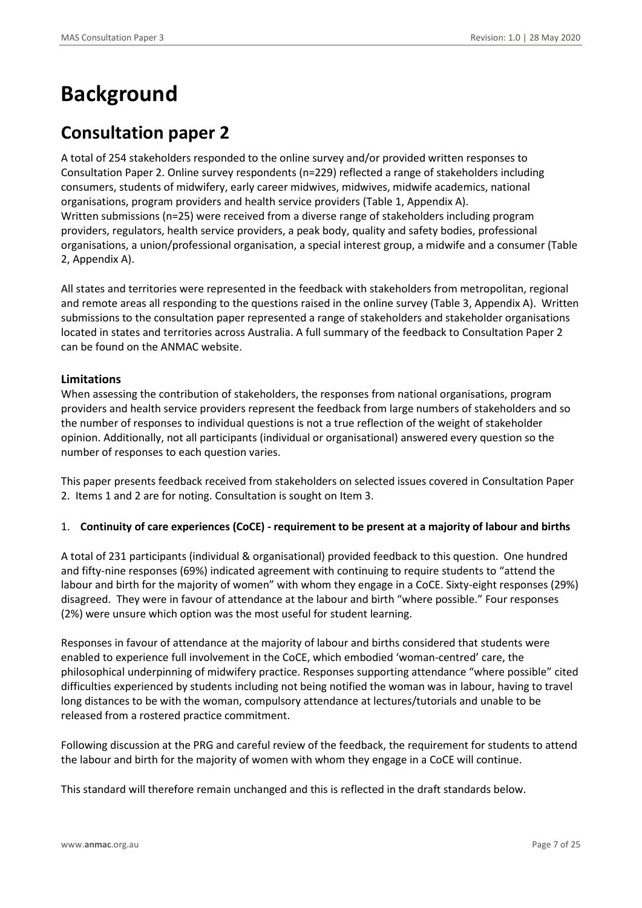# **Background**

## **Consultation paper 2**

A total of 254 stakeholders responded to the online survey and/or provided written responses to Consultation Paper 2. Online survey respondents (n=229) reflected a range of stakeholders including consumers, students of midwifery, early career midwives, midwives, midwife academics, national organisations, program providers and health service providers (Table 1, Appendix A). Written submissions (n=25) were received from a diverse range of stakeholders including program providers, regulators, health service providers, a peak body, quality and safety bodies, professional organisations, a union/professional organisation, a special interest group, a midwife and a consumer (Table 2, Appendix A).

All states and territories were represented in the feedback with stakeholders from metropolitan, regional and remote areas all responding to the questions raised in the online survey (Table 3, Appendix A). Written submissions to the consultation paper represented a range of stakeholders and stakeholder organisations located in states and territories across Australia. A full summary of the feedback to Consultation Paper 2 can be found on the ANMAC website.

#### **Limitations**

When assessing the contribution of stakeholders, the responses from national organisations, program providers and health service providers represent the feedback from large numbers of stakeholders and so the number of responses to individual questions is not a true reflection of the weight of stakeholder opinion. Additionally, not all participants (individual or organisational) answered every question so the number of responses to each question varies.

This paper presents feedback received from stakeholders on selected issues covered in Consultation Paper 2. Items 1 and 2 are for noting. Consultation is sought on Item 3.

#### 1. **Continuity of care experiences (CoCE) - requirement to be present at a majority of labour and births**

A total of 231 participants (individual & organisational) provided feedback to this question. One hundred and fifty-nine responses (69%) indicated agreement with continuing to require students to "attend the labour and birth for the majority of women" with whom they engage in a CoCE. Sixty-eight responses (29%) disagreed. They were in favour of attendance at the labour and birth "where possible." Four responses (2%) were unsure which option was the most useful for student learning.

Responses in favour of attendance at the majority of labour and births considered that students were enabled to experience full involvement in the CoCE, which embodied 'woman-centred' care, the philosophical underpinning of midwifery practice. Responses supporting attendance "where possible" cited difficulties experienced by students including not being notified the woman was in labour, having to travel long distances to be with the woman, compulsory attendance at lectures/tutorials and unable to be released from a rostered practice commitment.

Following discussion at the PRG and careful review of the feedback, the requirement for students to attend the labour and birth for the majority of women with whom they engage in a CoCE will continue.

This standard will therefore remain unchanged and this is reflected in the draft standards below.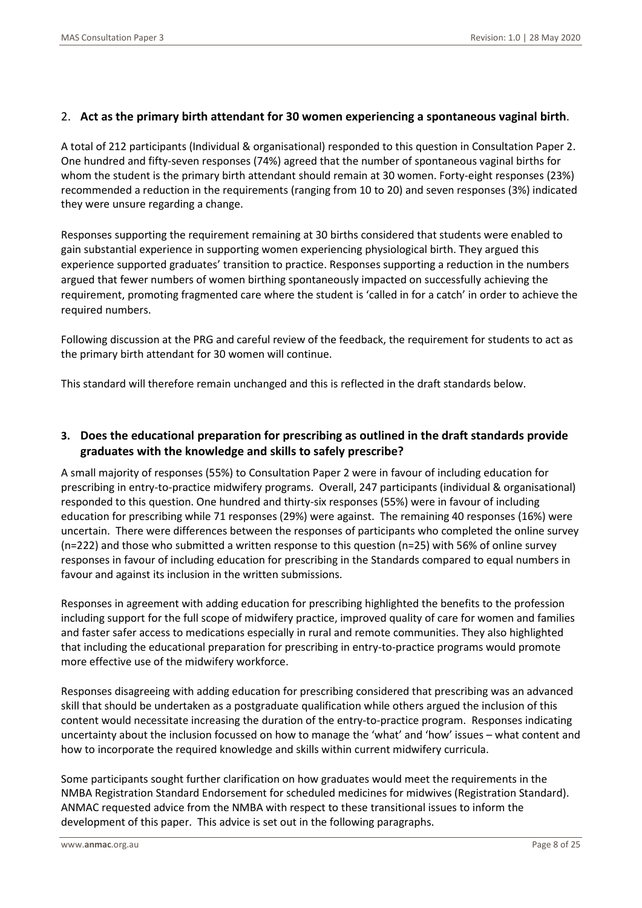#### 2. **Act as the primary birth attendant for 30 women experiencing a spontaneous vaginal birth**.

A total of 212 participants (Individual & organisational) responded to this question in Consultation Paper 2. One hundred and fifty-seven responses (74%) agreed that the number of spontaneous vaginal births for whom the student is the primary birth attendant should remain at 30 women. Forty-eight responses (23%) recommended a reduction in the requirements (ranging from 10 to 20) and seven responses (3%) indicated they were unsure regarding a change.

Responses supporting the requirement remaining at 30 births considered that students were enabled to gain substantial experience in supporting women experiencing physiological birth. They argued this experience supported graduates' transition to practice. Responses supporting a reduction in the numbers argued that fewer numbers of women birthing spontaneously impacted on successfully achieving the requirement, promoting fragmented care where the student is 'called in for a catch' in order to achieve the required numbers.

Following discussion at the PRG and careful review of the feedback, the requirement for students to act as the primary birth attendant for 30 women will continue.

This standard will therefore remain unchanged and this is reflected in the draft standards below.

#### **3. Does the educational preparation for prescribing as outlined in the draft standards provide graduates with the knowledge and skills to safely prescribe?**

A small majority of responses (55%) to Consultation Paper 2 were in favour of including education for prescribing in entry-to-practice midwifery programs. Overall, 247 participants (individual & organisational) responded to this question. One hundred and thirty-six responses (55%) were in favour of including education for prescribing while 71 responses (29%) were against. The remaining 40 responses (16%) were uncertain. There were differences between the responses of participants who completed the online survey (n=222) and those who submitted a written response to this question (n=25) with 56% of online survey responses in favour of including education for prescribing in the Standards compared to equal numbers in favour and against its inclusion in the written submissions.

Responses in agreement with adding education for prescribing highlighted the benefits to the profession including support for the full scope of midwifery practice, improved quality of care for women and families and faster safer access to medications especially in rural and remote communities. They also highlighted that including the educational preparation for prescribing in entry-to-practice programs would promote more effective use of the midwifery workforce.

Responses disagreeing with adding education for prescribing considered that prescribing was an advanced skill that should be undertaken as a postgraduate qualification while others argued the inclusion of this content would necessitate increasing the duration of the entry-to-practice program. Responses indicating uncertainty about the inclusion focussed on how to manage the 'what' and 'how' issues – what content and how to incorporate the required knowledge and skills within current midwifery curricula.

Some participants sought further clarification on how graduates would meet the requirements in the NMBA Registration Standard Endorsement for scheduled medicines for midwives (Registration Standard). ANMAC requested advice from the NMBA with respect to these transitional issues to inform the development of this paper. This advice is set out in the following paragraphs.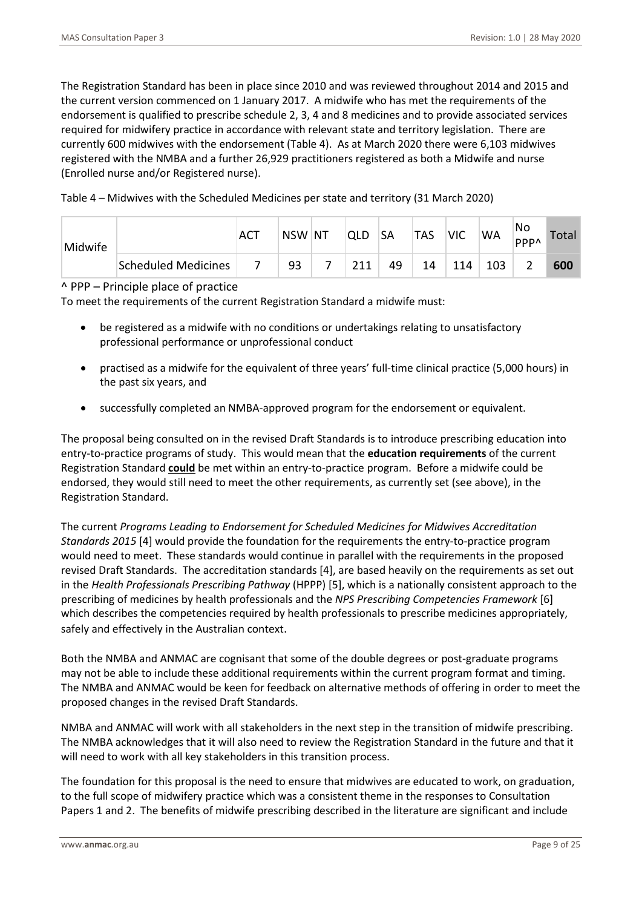The Registration Standard has been in place since 2010 and was reviewed throughout 2014 and 2015 and the current version commenced on 1 January 2017. A midwife who has met the requirements of the endorsement is qualified to prescribe schedule 2, 3, 4 and 8 medicines and to provide associated services required for midwifery practice in accordance with relevant state and territory legislation. There are currently 600 midwives with the endorsement (Table 4). As at March 2020 there were 6,103 midwives registered with the NMBA and a further 26,929 practitioners registered as both a Midwife and nurse (Enrolled nurse and/or Registered nurse).

Table 4 – Midwives with the Scheduled Medicines per state and territory (31 March 2020)

| Midwife |                     | AC | <b>NSW</b> | ∣NT | <b>QLD</b> | <b>SA</b> | <b>TAS</b> | <b>VIC</b> | <b>WA</b> | No<br>PPP^ | Total |
|---------|---------------------|----|------------|-----|------------|-----------|------------|------------|-----------|------------|-------|
|         | Scheduled Medicines |    | 93         |     | 211        | 49        | 14         | 114        | 103       |            | 600   |

#### ^ PPP – Principle place of practice

To meet the requirements of the current Registration Standard a midwife must:

- be registered as a midwife with no conditions or undertakings relating to unsatisfactory professional performance or unprofessional conduct
- practised as a midwife for the equivalent of three years' full-time clinical practice (5,000 hours) in the past six years, and
- successfully completed an NMBA-approved program for the endorsement or equivalent.

The proposal being consulted on in the revised Draft Standards is to introduce prescribing education into entry-to-practice programs of study. This would mean that the **education requirements** of the current Registration Standard **could** be met within an entry-to-practice program. Before a midwife could be endorsed, they would still need to meet the other requirements, as currently set (see above), in the Registration Standard.

The current *Programs Leading to Endorsement for Scheduled Medicines for Midwives Accreditation Standards 2015* [4] would provide the foundation for the requirements the entry-to-practice program would need to meet. These standards would continue in parallel with the requirements in the proposed revised Draft Standards. The accreditation standards [4], are based heavily on the requirements as set out in the *Health Professionals Prescribing Pathway* (HPPP) [5], which is a nationally consistent approach to the prescribing of medicines by health professionals and the *NPS Prescribing Competencies Framework* [6] which describes the competencies required by health professionals to prescribe medicines appropriately, safely and effectively in the Australian context.

Both the NMBA and ANMAC are cognisant that some of the double degrees or post-graduate programs may not be able to include these additional requirements within the current program format and timing. The NMBA and ANMAC would be keen for feedback on alternative methods of offering in order to meet the proposed changes in the revised Draft Standards.

NMBA and ANMAC will work with all stakeholders in the next step in the transition of midwife prescribing. The NMBA acknowledges that it will also need to review the Registration Standard in the future and that it will need to work with all key stakeholders in this transition process.

The foundation for this proposal is the need to ensure that midwives are educated to work, on graduation, to the full scope of midwifery practice which was a consistent theme in the responses to Consultation Papers 1 and 2. The benefits of midwife prescribing described in the literature are significant and include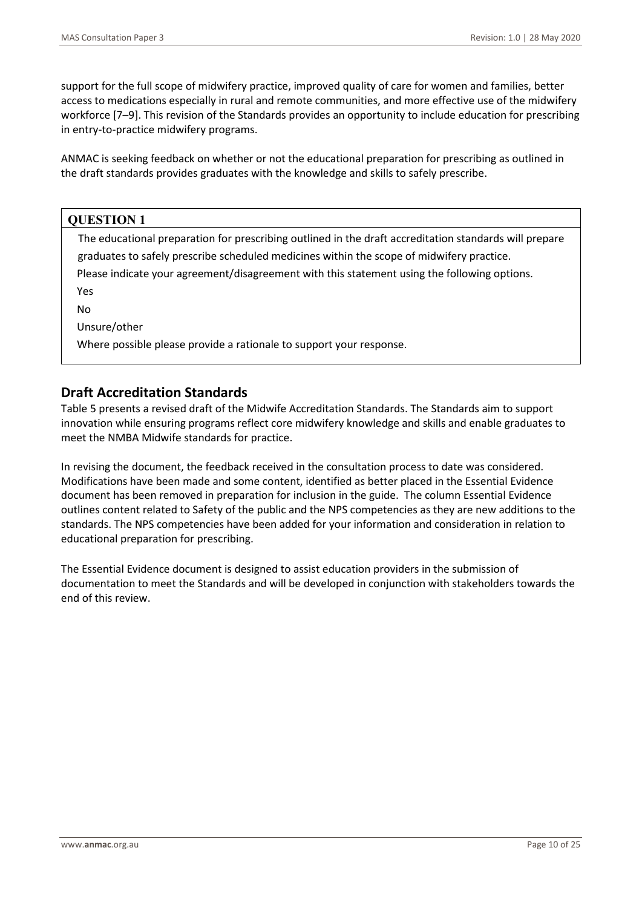support for the full scope of midwifery practice, improved quality of care for women and families, better access to medications especially in rural and remote communities, and more effective use of the midwifery workforce [7–9]. This revision of the Standards provides an opportunity to include education for prescribing in entry-to-practice midwifery programs.

ANMAC is seeking feedback on whether or not the educational preparation for prescribing as outlined in the draft standards provides graduates with the knowledge and skills to safely prescribe.

| <b>QUESTION 1</b>                                                                                      |  |
|--------------------------------------------------------------------------------------------------------|--|
| The educational preparation for prescribing outlined in the draft accreditation standards will prepare |  |
| graduates to safely prescribe scheduled medicines within the scope of midwifery practice.              |  |
| Please indicate your agreement/disagreement with this statement using the following options.           |  |
| <b>Yes</b>                                                                                             |  |
| No                                                                                                     |  |
| Unsure/other                                                                                           |  |
| Where possible please provide a rationale to support your response.                                    |  |
|                                                                                                        |  |

## **Draft Accreditation Standards**

Table 5 presents a revised draft of the Midwife Accreditation Standards. The Standards aim to support innovation while ensuring programs reflect core midwifery knowledge and skills and enable graduates to meet the NMBA Midwife standards for practice.

In revising the document, the feedback received in the consultation process to date was considered. Modifications have been made and some content, identified as better placed in the Essential Evidence document has been removed in preparation for inclusion in the guide. The column Essential Evidence outlines content related to Safety of the public and the NPS competencies as they are new additions to the standards. The NPS competencies have been added for your information and consideration in relation to educational preparation for prescribing.

The Essential Evidence document is designed to assist education providers in the submission of documentation to meet the Standards and will be developed in conjunction with stakeholders towards the end of this review.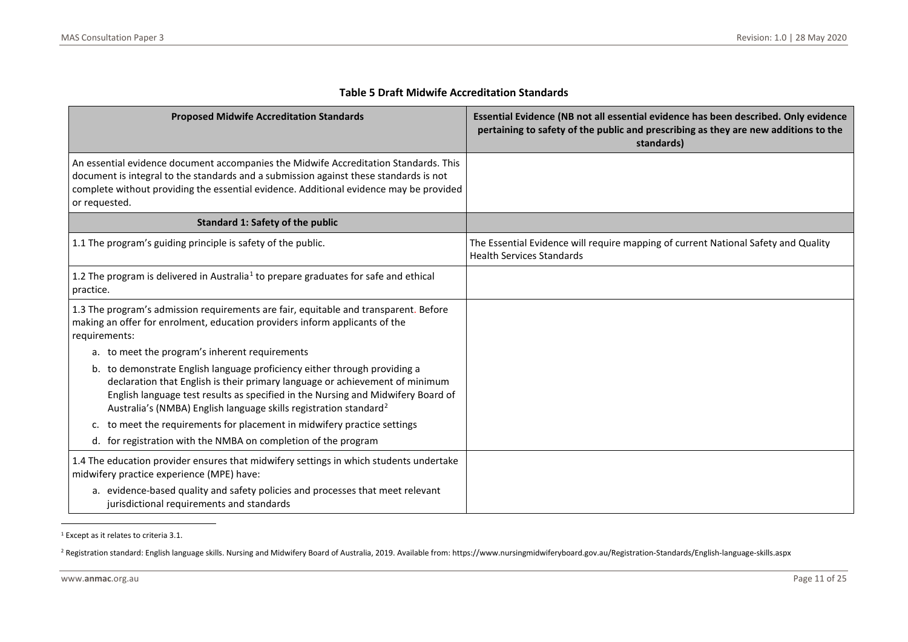| <b>Proposed Midwife Accreditation Standards</b>                                                                                                                                                                                                                                                                                | Essential Evidence (NB not all essential evidence has been described. Only evidence<br>pertaining to safety of the public and prescribing as they are new additions to the<br>standards) |
|--------------------------------------------------------------------------------------------------------------------------------------------------------------------------------------------------------------------------------------------------------------------------------------------------------------------------------|------------------------------------------------------------------------------------------------------------------------------------------------------------------------------------------|
| An essential evidence document accompanies the Midwife Accreditation Standards. This<br>document is integral to the standards and a submission against these standards is not<br>complete without providing the essential evidence. Additional evidence may be provided<br>or requested.                                       |                                                                                                                                                                                          |
| <b>Standard 1: Safety of the public</b>                                                                                                                                                                                                                                                                                        |                                                                                                                                                                                          |
| 1.1 The program's guiding principle is safety of the public.                                                                                                                                                                                                                                                                   | The Essential Evidence will require mapping of current National Safety and Quality<br><b>Health Services Standards</b>                                                                   |
| 1.2 The program is delivered in Australia <sup>1</sup> to prepare graduates for safe and ethical<br>practice.                                                                                                                                                                                                                  |                                                                                                                                                                                          |
| 1.3 The program's admission requirements are fair, equitable and transparent. Before<br>making an offer for enrolment, education providers inform applicants of the<br>requirements:                                                                                                                                           |                                                                                                                                                                                          |
| a. to meet the program's inherent requirements                                                                                                                                                                                                                                                                                 |                                                                                                                                                                                          |
| b. to demonstrate English language proficiency either through providing a<br>declaration that English is their primary language or achievement of minimum<br>English language test results as specified in the Nursing and Midwifery Board of<br>Australia's (NMBA) English language skills registration standard <sup>2</sup> |                                                                                                                                                                                          |
| to meet the requirements for placement in midwifery practice settings<br>c.                                                                                                                                                                                                                                                    |                                                                                                                                                                                          |
| d. for registration with the NMBA on completion of the program                                                                                                                                                                                                                                                                 |                                                                                                                                                                                          |
| 1.4 The education provider ensures that midwifery settings in which students undertake<br>midwifery practice experience (MPE) have:                                                                                                                                                                                            |                                                                                                                                                                                          |
| a. evidence-based quality and safety policies and processes that meet relevant<br>jurisdictional requirements and standards                                                                                                                                                                                                    |                                                                                                                                                                                          |

#### <span id="page-10-1"></span><span id="page-10-0"></span>**Table 5 Draft Midwife Accreditation Standards**

<sup>1</sup> Except as it relates to criteria 3.1.

<sup>2</sup> Registration standard: English language skills. Nursing and Midwifery Board of Australia, 2019. Available from: https://www.nursingmidwiferyboard.gov.au/Registration-Standards/English-language-skills.aspx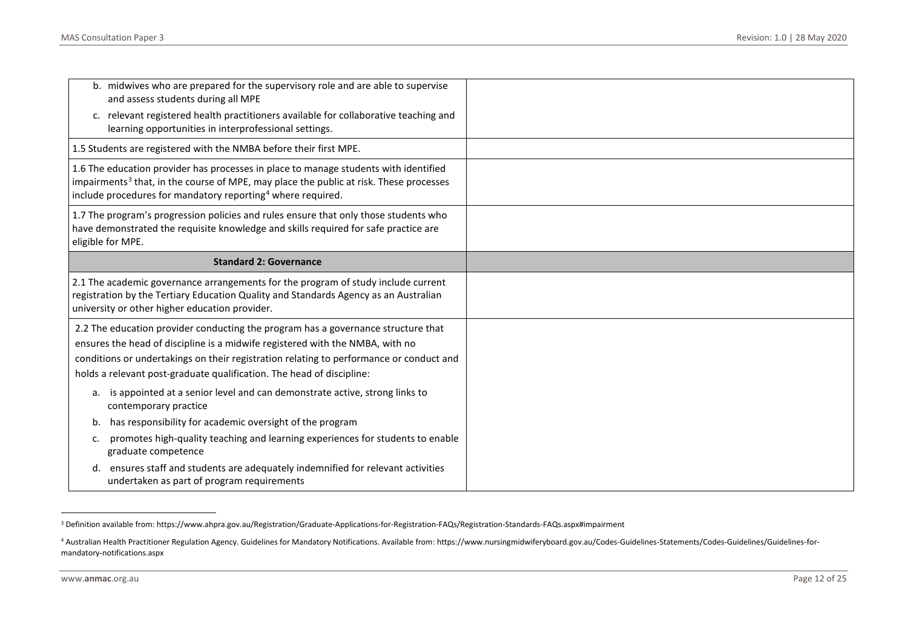<span id="page-11-1"></span><span id="page-11-0"></span>

| b. midwives who are prepared for the supervisory role and are able to supervise<br>and assess students during all MPE                                                                                                                                                                                                                  |  |
|----------------------------------------------------------------------------------------------------------------------------------------------------------------------------------------------------------------------------------------------------------------------------------------------------------------------------------------|--|
| c. relevant registered health practitioners available for collaborative teaching and<br>learning opportunities in interprofessional settings.                                                                                                                                                                                          |  |
| 1.5 Students are registered with the NMBA before their first MPE.                                                                                                                                                                                                                                                                      |  |
| 1.6 The education provider has processes in place to manage students with identified<br>impairments <sup>3</sup> that, in the course of MPE, may place the public at risk. These processes<br>include procedures for mandatory reporting <sup>4</sup> where required.                                                                  |  |
| 1.7 The program's progression policies and rules ensure that only those students who<br>have demonstrated the requisite knowledge and skills required for safe practice are<br>eligible for MPE.                                                                                                                                       |  |
| <b>Standard 2: Governance</b>                                                                                                                                                                                                                                                                                                          |  |
| 2.1 The academic governance arrangements for the program of study include current<br>registration by the Tertiary Education Quality and Standards Agency as an Australian<br>university or other higher education provider.                                                                                                            |  |
| 2.2 The education provider conducting the program has a governance structure that<br>ensures the head of discipline is a midwife registered with the NMBA, with no<br>conditions or undertakings on their registration relating to performance or conduct and<br>holds a relevant post-graduate qualification. The head of discipline: |  |
| a. is appointed at a senior level and can demonstrate active, strong links to<br>contemporary practice                                                                                                                                                                                                                                 |  |
| has responsibility for academic oversight of the program<br>b.                                                                                                                                                                                                                                                                         |  |
| promotes high-quality teaching and learning experiences for students to enable<br>c.                                                                                                                                                                                                                                                   |  |
| graduate competence                                                                                                                                                                                                                                                                                                                    |  |

<sup>3</sup> Definition available from: https://www.ahpra.gov.au/Registration/Graduate-Applications-for-Registration-FAQs/Registration-Standards-FAQs.aspx#impairment

<sup>4</sup> Australian Health Practitioner Regulation Agency. Guidelines for Mandatory Notifications. Available from: https://www.nursingmidwiferyboard.gov.au/Codes-Guidelines-Statements/Codes-Guidelines/Guidelines-formandatory-notifications.aspx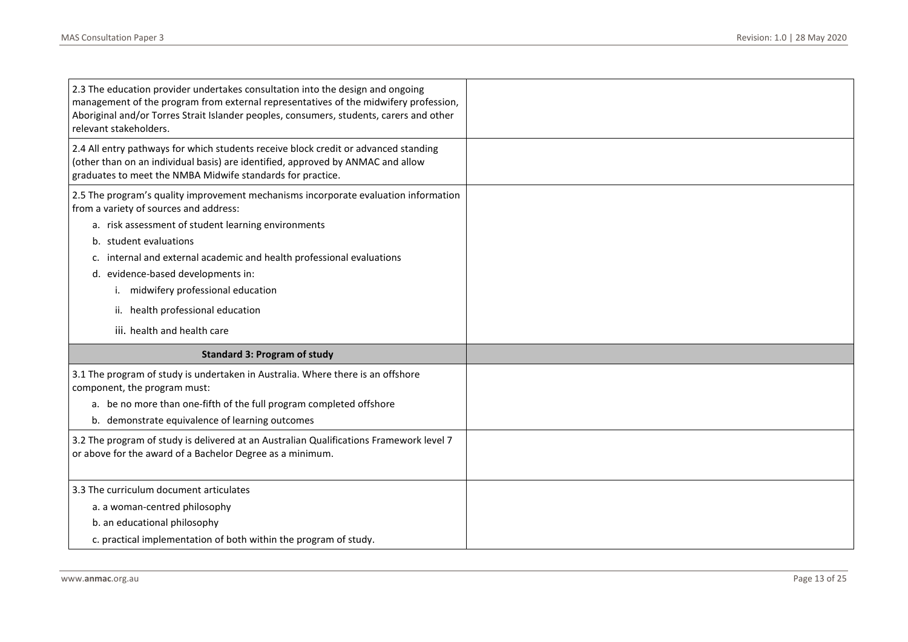| 2.3 The education provider undertakes consultation into the design and ongoing<br>management of the program from external representatives of the midwifery profession,<br>Aboriginal and/or Torres Strait Islander peoples, consumers, students, carers and other<br>relevant stakeholders.                                                                                                                                                 |  |
|---------------------------------------------------------------------------------------------------------------------------------------------------------------------------------------------------------------------------------------------------------------------------------------------------------------------------------------------------------------------------------------------------------------------------------------------|--|
| 2.4 All entry pathways for which students receive block credit or advanced standing<br>(other than on an individual basis) are identified, approved by ANMAC and allow<br>graduates to meet the NMBA Midwife standards for practice.                                                                                                                                                                                                        |  |
| 2.5 The program's quality improvement mechanisms incorporate evaluation information<br>from a variety of sources and address:<br>a. risk assessment of student learning environments<br>b. student evaluations<br>internal and external academic and health professional evaluations<br>c.<br>d. evidence-based developments in:<br>i. midwifery professional education<br>ii. health professional education<br>iii. health and health care |  |
| <b>Standard 3: Program of study</b>                                                                                                                                                                                                                                                                                                                                                                                                         |  |
| 3.1 The program of study is undertaken in Australia. Where there is an offshore<br>component, the program must:<br>a. be no more than one-fifth of the full program completed offshore<br>b. demonstrate equivalence of learning outcomes<br>3.2 The program of study is delivered at an Australian Qualifications Framework level 7<br>or above for the award of a Bachelor Degree as a minimum.                                           |  |
|                                                                                                                                                                                                                                                                                                                                                                                                                                             |  |
| 3.3 The curriculum document articulates<br>a. a woman-centred philosophy<br>b. an educational philosophy<br>c. practical implementation of both within the program of study.                                                                                                                                                                                                                                                                |  |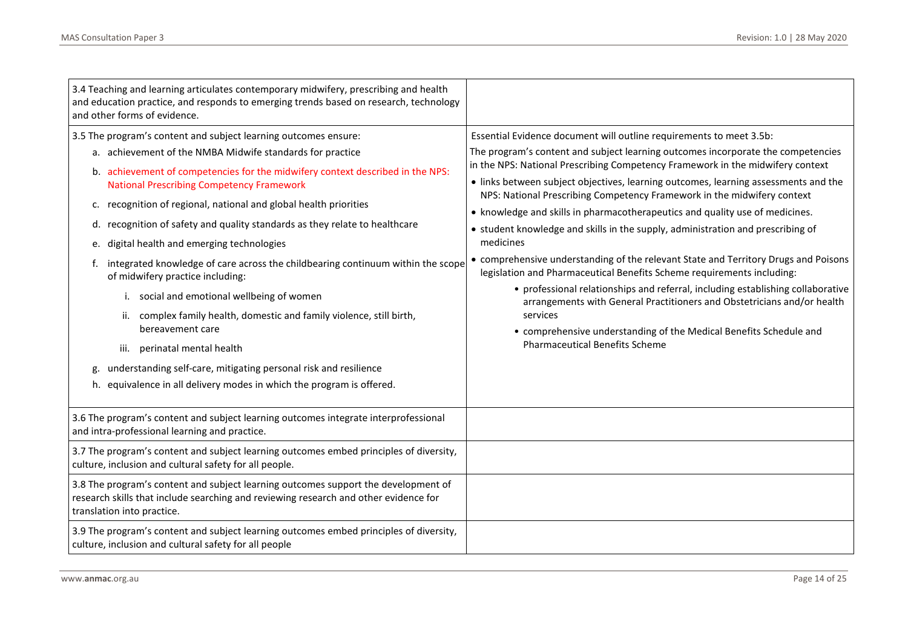| 3.4 Teaching and learning articulates contemporary midwifery, prescribing and health<br>and education practice, and responds to emerging trends based on research, technology<br>and other forms of evidence.                                                                                                                                                                                                                                                                                                                                                                                                                                                                                                                                                                                                                                                                                                                          |                                                                                                                                                                                                                                                                                                                                                                                                                                                                                                                                                                                                                                                                                                                                                                                                                                                                                                                                                                                                                                                       |
|----------------------------------------------------------------------------------------------------------------------------------------------------------------------------------------------------------------------------------------------------------------------------------------------------------------------------------------------------------------------------------------------------------------------------------------------------------------------------------------------------------------------------------------------------------------------------------------------------------------------------------------------------------------------------------------------------------------------------------------------------------------------------------------------------------------------------------------------------------------------------------------------------------------------------------------|-------------------------------------------------------------------------------------------------------------------------------------------------------------------------------------------------------------------------------------------------------------------------------------------------------------------------------------------------------------------------------------------------------------------------------------------------------------------------------------------------------------------------------------------------------------------------------------------------------------------------------------------------------------------------------------------------------------------------------------------------------------------------------------------------------------------------------------------------------------------------------------------------------------------------------------------------------------------------------------------------------------------------------------------------------|
| 3.5 The program's content and subject learning outcomes ensure:<br>a. achievement of the NMBA Midwife standards for practice<br>b. achievement of competencies for the midwifery context described in the NPS:<br><b>National Prescribing Competency Framework</b><br>recognition of regional, national and global health priorities<br>c.<br>d. recognition of safety and quality standards as they relate to healthcare<br>digital health and emerging technologies<br>e.<br>integrated knowledge of care across the childbearing continuum within the scope<br>f.<br>of midwifery practice including:<br>i. social and emotional wellbeing of women<br>ii. complex family health, domestic and family violence, still birth,<br>bereavement care<br>iii. perinatal mental health<br>understanding self-care, mitigating personal risk and resilience<br>g.<br>h. equivalence in all delivery modes in which the program is offered. | Essential Evidence document will outline requirements to meet 3.5b:<br>The program's content and subject learning outcomes incorporate the competencies<br>in the NPS: National Prescribing Competency Framework in the midwifery context<br>• links between subject objectives, learning outcomes, learning assessments and the<br>NPS: National Prescribing Competency Framework in the midwifery context<br>• knowledge and skills in pharmacotherapeutics and quality use of medicines.<br>• student knowledge and skills in the supply, administration and prescribing of<br>medicines<br>• comprehensive understanding of the relevant State and Territory Drugs and Poisons<br>legislation and Pharmaceutical Benefits Scheme requirements including:<br>• professional relationships and referral, including establishing collaborative<br>arrangements with General Practitioners and Obstetricians and/or health<br>services<br>• comprehensive understanding of the Medical Benefits Schedule and<br><b>Pharmaceutical Benefits Scheme</b> |
| 3.6 The program's content and subject learning outcomes integrate interprofessional<br>and intra-professional learning and practice.<br>3.7 The program's content and subject learning outcomes embed principles of diversity,                                                                                                                                                                                                                                                                                                                                                                                                                                                                                                                                                                                                                                                                                                         |                                                                                                                                                                                                                                                                                                                                                                                                                                                                                                                                                                                                                                                                                                                                                                                                                                                                                                                                                                                                                                                       |
| culture, inclusion and cultural safety for all people.<br>3.8 The program's content and subject learning outcomes support the development of<br>research skills that include searching and reviewing research and other evidence for<br>translation into practice.<br>3.9 The program's content and subject learning outcomes embed principles of diversity,<br>culture, inclusion and cultural safety for all people                                                                                                                                                                                                                                                                                                                                                                                                                                                                                                                  |                                                                                                                                                                                                                                                                                                                                                                                                                                                                                                                                                                                                                                                                                                                                                                                                                                                                                                                                                                                                                                                       |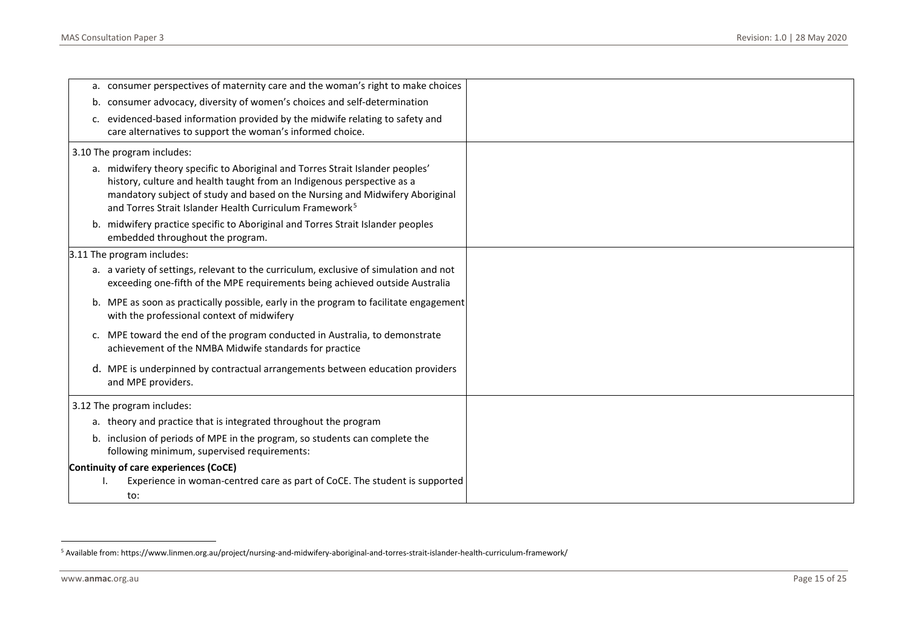<span id="page-14-0"></span>

|    | a. consumer perspectives of maternity care and the woman's right to make choices                                                                                      |  |
|----|-----------------------------------------------------------------------------------------------------------------------------------------------------------------------|--|
| b. | consumer advocacy, diversity of women's choices and self-determination                                                                                                |  |
| c. | evidenced-based information provided by the midwife relating to safety and                                                                                            |  |
|    | care alternatives to support the woman's informed choice.                                                                                                             |  |
|    | 3.10 The program includes:                                                                                                                                            |  |
|    | a. midwifery theory specific to Aboriginal and Torres Strait Islander peoples'                                                                                        |  |
|    | history, culture and health taught from an Indigenous perspective as a                                                                                                |  |
|    | mandatory subject of study and based on the Nursing and Midwifery Aboriginal                                                                                          |  |
|    | and Torres Strait Islander Health Curriculum Framework <sup>5</sup>                                                                                                   |  |
|    | b. midwifery practice specific to Aboriginal and Torres Strait Islander peoples<br>embedded throughout the program.                                                   |  |
|    |                                                                                                                                                                       |  |
|    | 3.11 The program includes:                                                                                                                                            |  |
|    | a. a variety of settings, relevant to the curriculum, exclusive of simulation and not<br>exceeding one-fifth of the MPE requirements being achieved outside Australia |  |
|    | b. MPE as soon as practically possible, early in the program to facilitate engagement<br>with the professional context of midwifery                                   |  |
| c. | MPE toward the end of the program conducted in Australia, to demonstrate<br>achievement of the NMBA Midwife standards for practice                                    |  |
|    | d. MPE is underpinned by contractual arrangements between education providers<br>and MPE providers.                                                                   |  |
|    | 3.12 The program includes:                                                                                                                                            |  |
|    | a. theory and practice that is integrated throughout the program                                                                                                      |  |
|    | b. inclusion of periods of MPE in the program, so students can complete the                                                                                           |  |
|    | following minimum, supervised requirements:                                                                                                                           |  |
|    | Continuity of care experiences (CoCE)                                                                                                                                 |  |
|    | Experience in woman-centred care as part of CoCE. The student is supported                                                                                            |  |
|    | to:                                                                                                                                                                   |  |

<sup>5</sup> Available from: https://www.linmen.org.au/project/nursing-and-midwifery-aboriginal-and-torres-strait-islander-health-curriculum-framework/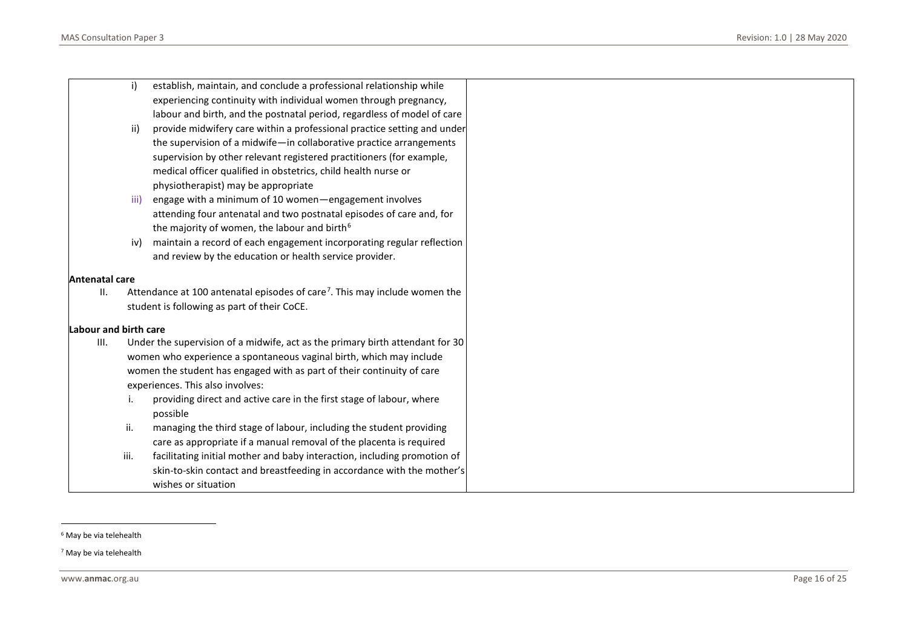<span id="page-15-1"></span><span id="page-15-0"></span>

|                              | i)   | establish, maintain, and conclude a professional relationship while                    |
|------------------------------|------|----------------------------------------------------------------------------------------|
|                              |      | experiencing continuity with individual women through pregnancy,                       |
|                              |      | labour and birth, and the postnatal period, regardless of model of care                |
|                              | ii)  | provide midwifery care within a professional practice setting and under                |
|                              |      | the supervision of a midwife-in collaborative practice arrangements                    |
|                              |      | supervision by other relevant registered practitioners (for example,                   |
|                              |      | medical officer qualified in obstetrics, child health nurse or                         |
|                              |      | physiotherapist) may be appropriate                                                    |
|                              | iii) | engage with a minimum of 10 women-engagement involves                                  |
|                              |      | attending four antenatal and two postnatal episodes of care and, for                   |
|                              |      | the majority of women, the labour and birth <sup>6</sup>                               |
|                              | iv)  | maintain a record of each engagement incorporating regular reflection                  |
|                              |      | and review by the education or health service provider.                                |
| Antenatal care               |      |                                                                                        |
| Ш.                           |      | Attendance at 100 antenatal episodes of care <sup>7</sup> . This may include women the |
|                              |      | student is following as part of their CoCE.                                            |
|                              |      |                                                                                        |
| <b>Labour and birth care</b> |      |                                                                                        |
| III.                         |      | Under the supervision of a midwife, act as the primary birth attendant for 30          |
|                              |      | women who experience a spontaneous vaginal birth, which may include                    |
|                              |      | women the student has engaged with as part of their continuity of care                 |
|                              |      | experiences. This also involves:                                                       |
|                              |      | providing direct and active care in the first stage of labour, where                   |
|                              |      | possible                                                                               |
|                              | ii.  | managing the third stage of labour, including the student providing                    |
|                              |      | care as appropriate if a manual removal of the placenta is required                    |
|                              | iii. | facilitating initial mother and baby interaction, including promotion of               |
|                              |      | skin-to-skin contact and breastfeeding in accordance with the mother's                 |
|                              |      | wishes or situation                                                                    |

<sup>6</sup> May be via telehealth

<sup>7</sup> May be via telehealth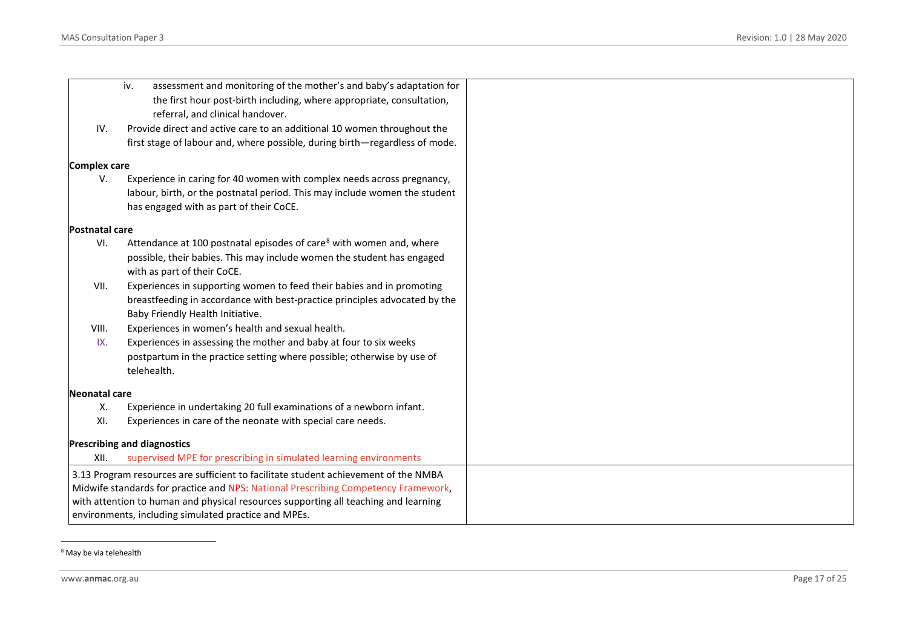<span id="page-16-0"></span>

|                       | iv.<br>assessment and monitoring of the mother's and baby's adaptation for<br>the first hour post-birth including, where appropriate, consultation,<br>referral, and clinical handover. |
|-----------------------|-----------------------------------------------------------------------------------------------------------------------------------------------------------------------------------------|
| IV.                   | Provide direct and active care to an additional 10 women throughout the                                                                                                                 |
|                       | first stage of labour and, where possible, during birth-regardless of mode.                                                                                                             |
| <b>Complex care</b>   |                                                                                                                                                                                         |
| V.                    | Experience in caring for 40 women with complex needs across pregnancy,                                                                                                                  |
|                       | labour, birth, or the postnatal period. This may include women the student                                                                                                              |
|                       | has engaged with as part of their CoCE.                                                                                                                                                 |
| <b>Postnatal care</b> |                                                                                                                                                                                         |
| VI.                   | Attendance at 100 postnatal episodes of care <sup>8</sup> with women and, where                                                                                                         |
|                       | possible, their babies. This may include women the student has engaged                                                                                                                  |
|                       | with as part of their CoCE.                                                                                                                                                             |
| VII.                  | Experiences in supporting women to feed their babies and in promoting                                                                                                                   |
|                       | breastfeeding in accordance with best-practice principles advocated by the                                                                                                              |
|                       | Baby Friendly Health Initiative.                                                                                                                                                        |
| VIII.                 | Experiences in women's health and sexual health.                                                                                                                                        |
| IX.                   | Experiences in assessing the mother and baby at four to six weeks                                                                                                                       |
|                       | postpartum in the practice setting where possible; otherwise by use of                                                                                                                  |
|                       | telehealth.                                                                                                                                                                             |
| <b>Neonatal care</b>  |                                                                                                                                                                                         |
| Χ.                    | Experience in undertaking 20 full examinations of a newborn infant.                                                                                                                     |
| XI.                   | Experiences in care of the neonate with special care needs.                                                                                                                             |
|                       | <b>Prescribing and diagnostics</b>                                                                                                                                                      |
| XII.                  | supervised MPE for prescribing in simulated learning environments                                                                                                                       |
|                       | 3.13 Program resources are sufficient to facilitate student achievement of the NMBA                                                                                                     |
|                       | Midwife standards for practice and NPS: National Prescribing Competency Framework,                                                                                                      |
|                       | with attention to human and physical resources supporting all teaching and learning                                                                                                     |
|                       | environments, including simulated practice and MPEs.                                                                                                                                    |

<sup>8</sup> May be via telehealth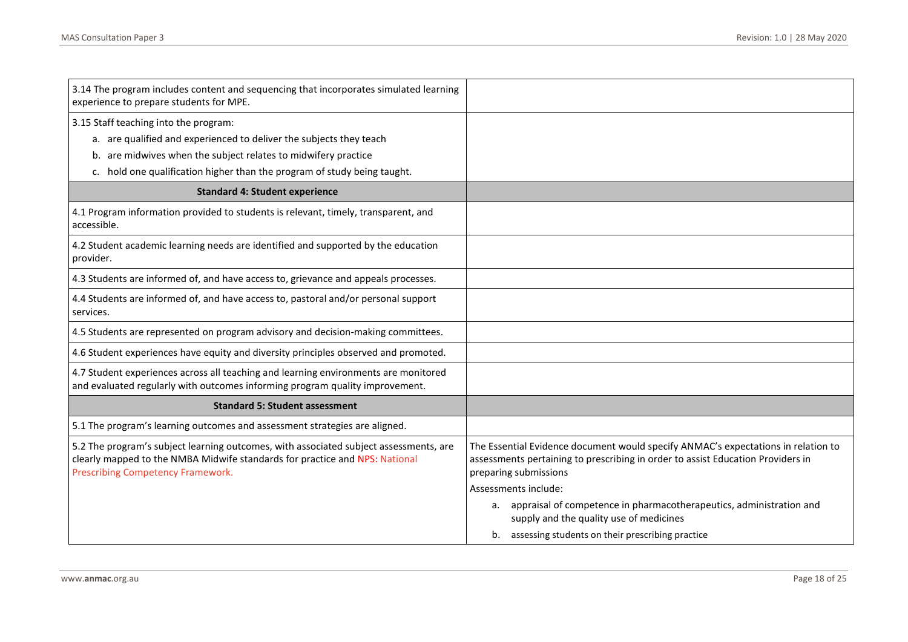| 3.14 The program includes content and sequencing that incorporates simulated learning<br>experience to prepare students for MPE.                                                                                                                           |                                                                                                                                                                                               |
|------------------------------------------------------------------------------------------------------------------------------------------------------------------------------------------------------------------------------------------------------------|-----------------------------------------------------------------------------------------------------------------------------------------------------------------------------------------------|
| 3.15 Staff teaching into the program:<br>a. are qualified and experienced to deliver the subjects they teach<br>b. are midwives when the subject relates to midwifery practice<br>c. hold one qualification higher than the program of study being taught. |                                                                                                                                                                                               |
| <b>Standard 4: Student experience</b>                                                                                                                                                                                                                      |                                                                                                                                                                                               |
| 4.1 Program information provided to students is relevant, timely, transparent, and<br>accessible.                                                                                                                                                          |                                                                                                                                                                                               |
| 4.2 Student academic learning needs are identified and supported by the education<br>provider.                                                                                                                                                             |                                                                                                                                                                                               |
| 4.3 Students are informed of, and have access to, grievance and appeals processes.                                                                                                                                                                         |                                                                                                                                                                                               |
| 4.4 Students are informed of, and have access to, pastoral and/or personal support<br>services.                                                                                                                                                            |                                                                                                                                                                                               |
| 4.5 Students are represented on program advisory and decision-making committees.                                                                                                                                                                           |                                                                                                                                                                                               |
| 4.6 Student experiences have equity and diversity principles observed and promoted.                                                                                                                                                                        |                                                                                                                                                                                               |
| 4.7 Student experiences across all teaching and learning environments are monitored<br>and evaluated regularly with outcomes informing program quality improvement.                                                                                        |                                                                                                                                                                                               |
| <b>Standard 5: Student assessment</b>                                                                                                                                                                                                                      |                                                                                                                                                                                               |
| 5.1 The program's learning outcomes and assessment strategies are aligned.                                                                                                                                                                                 |                                                                                                                                                                                               |
| 5.2 The program's subject learning outcomes, with associated subject assessments, are<br>clearly mapped to the NMBA Midwife standards for practice and NPS: National<br>Prescribing Competency Framework.                                                  | The Essential Evidence document would specify ANMAC's expectations in relation to<br>assessments pertaining to prescribing in order to assist Education Providers in<br>preparing submissions |
|                                                                                                                                                                                                                                                            | Assessments include:                                                                                                                                                                          |
|                                                                                                                                                                                                                                                            | a. appraisal of competence in pharmacotherapeutics, administration and<br>supply and the quality use of medicines                                                                             |
|                                                                                                                                                                                                                                                            | b. assessing students on their prescribing practice                                                                                                                                           |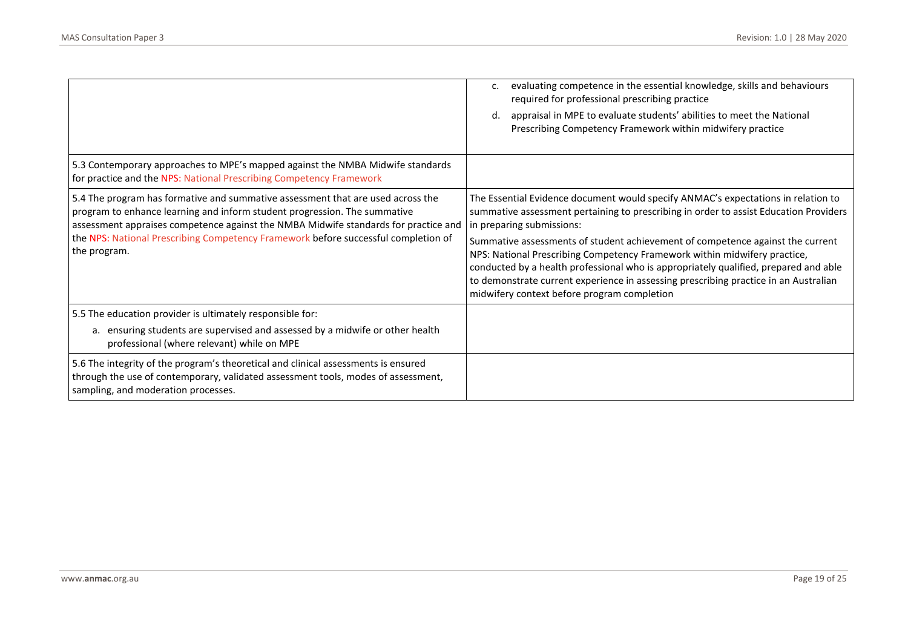|                                                                                                                                                                                                                                                                                                                                                           | evaluating competence in the essential knowledge, skills and behaviours<br>c.<br>required for professional prescribing practice<br>appraisal in MPE to evaluate students' abilities to meet the National<br>d.<br>Prescribing Competency Framework within midwifery practice                                                                                                                                                                                                                                                                                                                          |
|-----------------------------------------------------------------------------------------------------------------------------------------------------------------------------------------------------------------------------------------------------------------------------------------------------------------------------------------------------------|-------------------------------------------------------------------------------------------------------------------------------------------------------------------------------------------------------------------------------------------------------------------------------------------------------------------------------------------------------------------------------------------------------------------------------------------------------------------------------------------------------------------------------------------------------------------------------------------------------|
| 5.3 Contemporary approaches to MPE's mapped against the NMBA Midwife standards<br>for practice and the NPS: National Prescribing Competency Framework                                                                                                                                                                                                     |                                                                                                                                                                                                                                                                                                                                                                                                                                                                                                                                                                                                       |
| 5.4 The program has formative and summative assessment that are used across the<br>program to enhance learning and inform student progression. The summative<br>assessment appraises competence against the NMBA Midwife standards for practice and<br>the NPS: National Prescribing Competency Framework before successful completion of<br>the program. | The Essential Evidence document would specify ANMAC's expectations in relation to<br>summative assessment pertaining to prescribing in order to assist Education Providers<br>in preparing submissions:<br>Summative assessments of student achievement of competence against the current<br>NPS: National Prescribing Competency Framework within midwifery practice,<br>conducted by a health professional who is appropriately qualified, prepared and able<br>to demonstrate current experience in assessing prescribing practice in an Australian<br>midwifery context before program completion |
| 5.5 The education provider is ultimately responsible for:<br>a. ensuring students are supervised and assessed by a midwife or other health<br>professional (where relevant) while on MPE                                                                                                                                                                  |                                                                                                                                                                                                                                                                                                                                                                                                                                                                                                                                                                                                       |
| 5.6 The integrity of the program's theoretical and clinical assessments is ensured<br>through the use of contemporary, validated assessment tools, modes of assessment,<br>sampling, and moderation processes.                                                                                                                                            |                                                                                                                                                                                                                                                                                                                                                                                                                                                                                                                                                                                                       |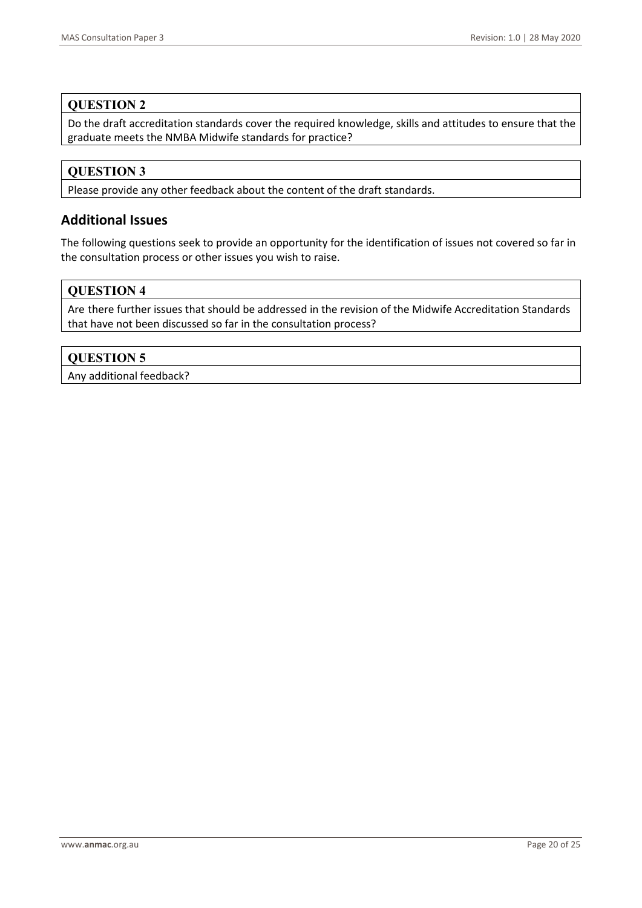### **QUESTION 2**

Do the draft accreditation standards cover the required knowledge, skills and attitudes to ensure that the graduate meets the NMBA Midwife standards for practice?

## **QUESTION 3**

Please provide any other feedback about the content of the draft standards.

## **Additional Issues**

The following questions seek to provide an opportunity for the identification of issues not covered so far in the consultation process or other issues you wish to raise.

### **QUESTION 4**

Are there further issues that should be addressed in the revision of the Midwife Accreditation Standards that have not been discussed so far in the consultation process?

### **QUESTION 5**

Any additional feedback?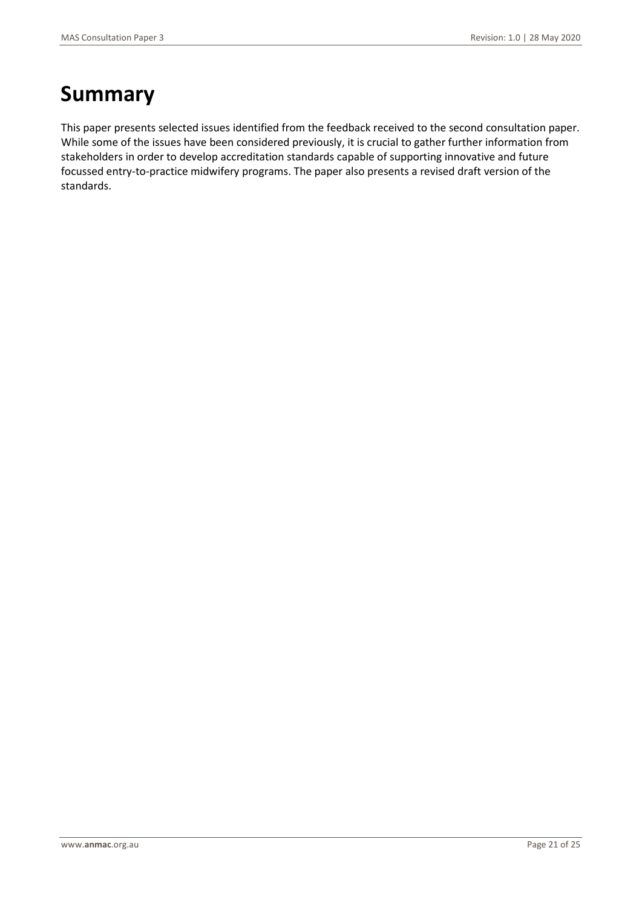# **Summary**

This paper presents selected issues identified from the feedback received to the second consultation paper. While some of the issues have been considered previously, it is crucial to gather further information from stakeholders in order to develop accreditation standards capable of supporting innovative and future focussed entry-to-practice midwifery programs. The paper also presents a revised draft version of the standards.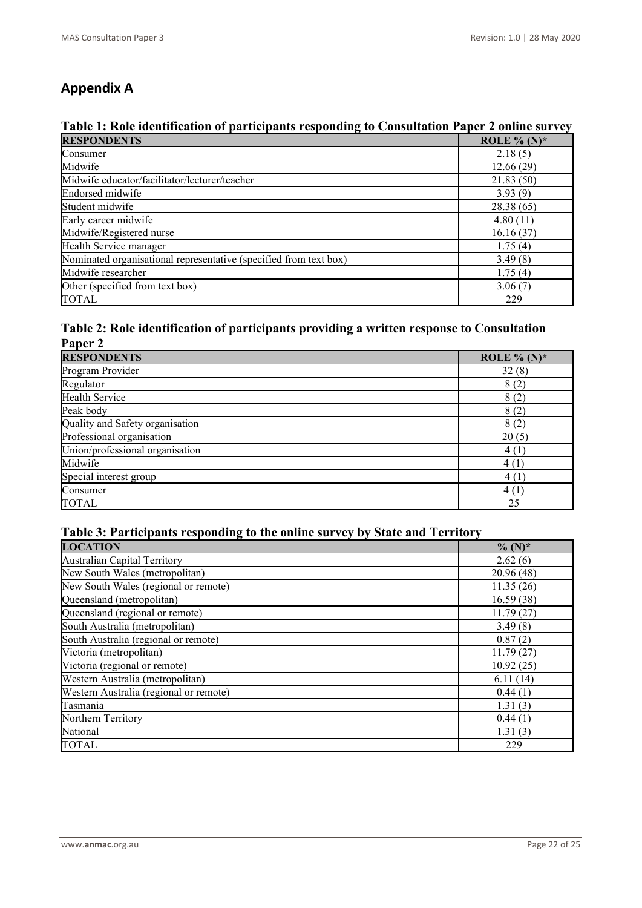## **Appendix A**

## **Table 1: Role identification of participants responding to Consultation Paper 2 online survey**

| <b>RESPONDENTS</b>                                                | ROLE % $(N)^*$ |
|-------------------------------------------------------------------|----------------|
| Consumer                                                          | 2.18(5)        |
| Midwife                                                           | 12.66(29)      |
| Midwife educator/facilitator/lecturer/teacher                     | 21.83(50)      |
| Endorsed midwife                                                  | 3.93(9)        |
| Student midwife                                                   | 28.38(65)      |
| Early career midwife                                              | 4.80(11)       |
| Midwife/Registered nurse                                          | 16.16(37)      |
| Health Service manager                                            | 1.75(4)        |
| Nominated organisational representative (specified from text box) | 3.49(8)        |
| Midwife researcher                                                | 1.75(4)        |
| Other (specified from text box)                                   | 3.06(7)        |
| <b>TOTAL</b>                                                      | 229            |

### **Table 2: Role identification of participants providing a written response to Consultation Paper 2**

| <b>RESPONDENTS</b>              | ROLE % $(N)^*$ |
|---------------------------------|----------------|
| Program Provider                | 32(8)          |
| Regulator                       | 8(2)           |
| <b>Health Service</b>           | 8(2)           |
| Peak body                       | 8(2)           |
| Quality and Safety organisation | 8(2)           |
| Professional organisation       | 20(5)          |
| Union/professional organisation | 4(1)           |
| Midwife                         | 4(1)           |
| Special interest group          | 4(1)           |
| Consumer                        | 4(1)           |
| <b>TOTAL</b>                    | 25             |

## **Table 3: Participants responding to the online survey by State and Territory**

| <b>LOCATION</b>                        | $\%$ (N)*  |
|----------------------------------------|------------|
| Australian Capital Territory           | 2.62(6)    |
| New South Wales (metropolitan)         | 20.96 (48) |
| New South Wales (regional or remote)   | 11.35(26)  |
| Queensland (metropolitan)              | 16.59(38)  |
| Queensland (regional or remote)        | 11.79(27)  |
| South Australia (metropolitan)         | 3.49(8)    |
| South Australia (regional or remote)   | 0.87(2)    |
| Victoria (metropolitan)                | 11.79(27)  |
| Victoria (regional or remote)          | 10.92(25)  |
| Western Australia (metropolitan)       | 6.11(14)   |
| Western Australia (regional or remote) | 0.44(1)    |
| Tasmania                               | 1.31(3)    |
| Northern Territory                     | 0.44(1)    |
| National                               | 1.31(3)    |
| <b>TOTAL</b>                           | 229        |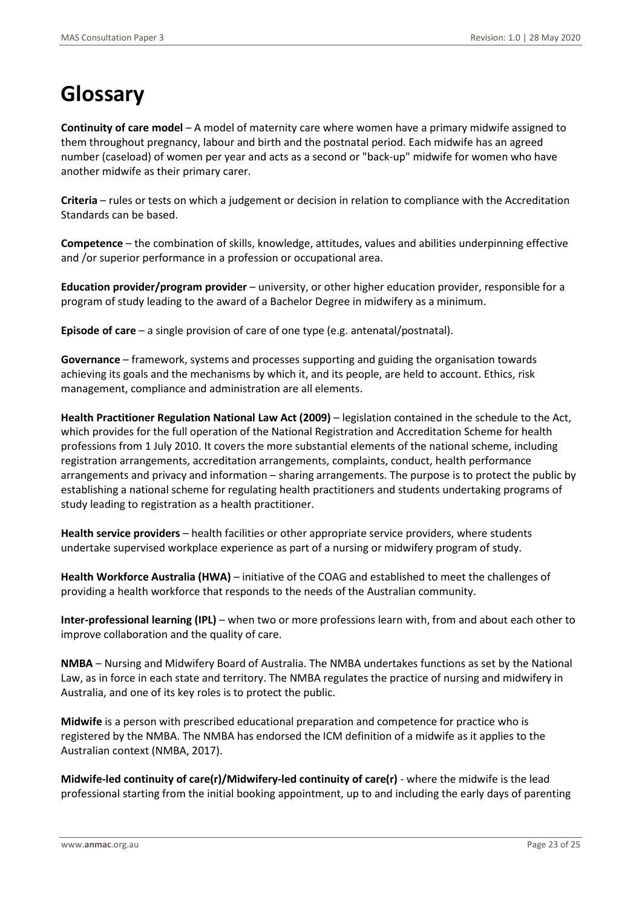# **Glossary**

**Continuity of care model** – A model of maternity care where women have a primary midwife assigned to them throughout pregnancy, labour and birth and the postnatal period. Each midwife has an agreed number (caseload) of women per year and acts as a second or "back-up" midwife for women who have another midwife as their primary carer.

**Criteria** – rules or tests on which a judgement or decision in relation to compliance with the Accreditation Standards can be based.

**Competence** – the combination of skills, knowledge, attitudes, values and abilities underpinning effective and /or superior performance in a profession or occupational area.

**Education provider/program provider** – university, or other higher education provider, responsible for a program of study leading to the award of a Bachelor Degree in midwifery as a minimum.

**Episode of care** – a single provision of care of one type (e.g. antenatal/postnatal).

**Governance** – framework, systems and processes supporting and guiding the organisation towards achieving its goals and the mechanisms by which it, and its people, are held to account. Ethics, risk management, compliance and administration are all elements.

**Health Practitioner Regulation National Law Act (2009)** – legislation contained in the schedule to the Act, which provides for the full operation of the National Registration and Accreditation Scheme for health professions from 1 July 2010. It covers the more substantial elements of the national scheme, including registration arrangements, accreditation arrangements, complaints, conduct, health performance arrangements and privacy and information – sharing arrangements. The purpose is to protect the public by establishing a national scheme for regulating health practitioners and students undertaking programs of study leading to registration as a health practitioner.

**Health service providers** – health facilities or other appropriate service providers, where students undertake supervised workplace experience as part of a nursing or midwifery program of study.

**Health Workforce Australia (HWA)** – initiative of the COAG and established to meet the challenges of providing a health workforce that responds to the needs of the Australian community.

**Inter-professional learning (IPL)** – when two or more professions learn with, from and about each other to improve collaboration and the quality of care.

**NMBA** – Nursing and Midwifery Board of Australia. The NMBA undertakes functions as set by the National Law, as in force in each state and territory. The NMBA regulates the practice of nursing and midwifery in Australia, and one of its key roles is to protect the public.

**Midwife** is a person with prescribed educational preparation and competence for practice who is registered by the NMBA. The NMBA has endorsed the ICM definition of a midwife as it applies to the Australian context (NMBA, 2017).

**Midwife-led continuity of care(r)/Midwifery-led continuity of care(r)** - where the midwife is the lead professional starting from the initial booking appointment, up to and including the early days of parenting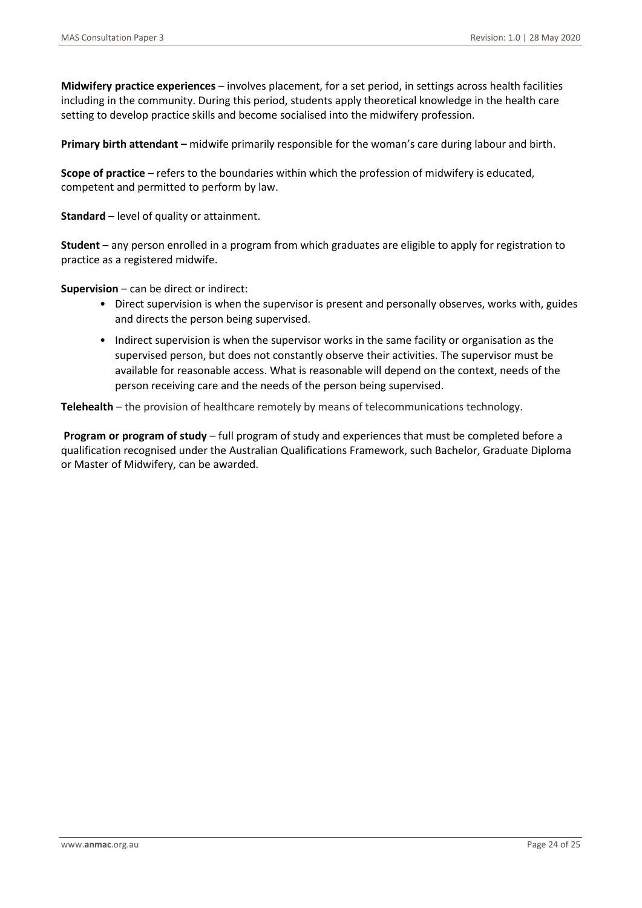**Midwifery practice experiences** – involves placement, for a set period, in settings across health facilities including in the community. During this period, students apply theoretical knowledge in the health care setting to develop practice skills and become socialised into the midwifery profession.

**Primary birth attendant –** midwife primarily responsible for the woman's care during labour and birth.

**Scope of practice** – refers to the boundaries within which the profession of midwifery is educated, competent and permitted to perform by law.

**Standard** – level of quality or attainment.

**Student** – any person enrolled in a program from which graduates are eligible to apply for registration to practice as a registered midwife.

**Supervision** – can be direct or indirect:

- Direct supervision is when the supervisor is present and personally observes, works with, guides and directs the person being supervised.
- Indirect supervision is when the supervisor works in the same facility or organisation as the supervised person, but does not constantly observe their activities. The supervisor must be available for reasonable access. What is reasonable will depend on the context, needs of the person receiving care and the needs of the person being supervised.

**Telehealth** – the provision of healthcare remotely by means of telecommunications technology.

**Program or program of study** – full program of study and experiences that must be completed before a qualification recognised under the Australian Qualifications Framework, such Bachelor, Graduate Diploma or Master of Midwifery, can be awarded.